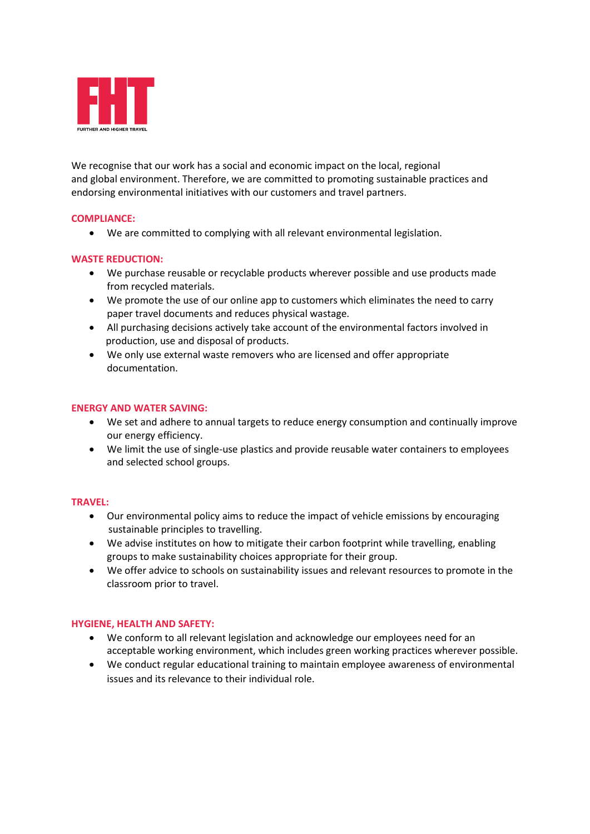

We recognise that our work has a social and economic impact on the local, regional and global environment. Therefore, we are committed to promoting sustainable practices and endorsing environmental initiatives with our customers and travel partners.

# **COMPLIANCE:**

• We are committed to complying with all relevant environmental legislation.

## **WASTE REDUCTION:**

- We purchase reusable or recyclable products wherever possible and use products made from recycled materials.
- We promote the use of our online app to customers which eliminates the need to carry paper travel documents and reduces physical wastage.
- All purchasing decisions actively take account of the environmental factors involved in production, use and disposal of products.
- We only use external waste removers who are licensed and offer appropriate documentation.

## **ENERGY AND WATER SAVING:**

- We set and adhere to annual targets to reduce energy consumption and continually improve our energy efficiency.
- We limit the use of single-use plastics and provide reusable water containers to employees and selected school groups.

## **TRAVEL:**

- Our environmental policy aims to reduce the impact of vehicle emissions by encouraging sustainable principles to travelling.
- We advise institutes on how to mitigate their carbon footprint while travelling, enabling groups to make sustainability choices appropriate for their group.
- We offer advice to schools on sustainability issues and relevant resources to promote in the classroom prior to travel.

## **HYGIENE, HEALTH AND SAFETY:**

- We conform to all relevant legislation and acknowledge our employees need for an acceptable working environment, which includes green working practices wherever possible.
- We conduct regular educational training to maintain employee awareness of environmental issues and its relevance to their individual role.